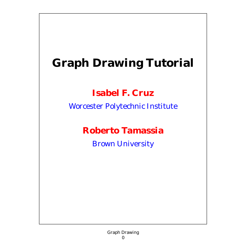# **Graph Drawing Tutorial**

#### **Isabel F. Cruz**

Worcester Polytechnic Institute

#### **Roberto Tamassia**

Brown University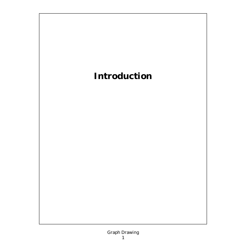### **Introduction**

#### Graph Drawing 1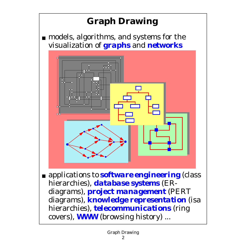## **Graph Drawing**

■ models, algorithms, and systems for the visualization of *graphs* and *networks*



■ applications to *software engineering* (class hierarchies), *database systems* (ERdiagrams), *project management* (PERT diagrams), *knowledge representation* (isa hierarchies), *telecommunications* (ring covers), *WWW* (browsing history) ...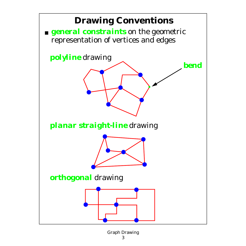

Graph Drawing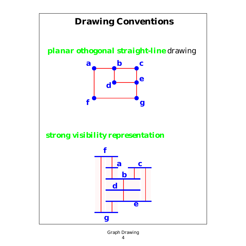### **Drawing Conventions**

*planar othogonal straight-line* drawing



*strong visibility representation*



#### Graph Drawing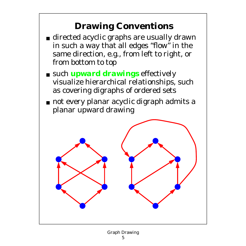### **Drawing Conventions**

- directed acyclic graphs are usually drawn in such a way that all edges "flow" in the same direction, e.g., from left to right, or from bottom to top
- such *upward drawings* effectively visualize hierarchical relationships, such as covering digraphs of ordered sets
- not every planar acyclic digraph admits a planar upward drawing

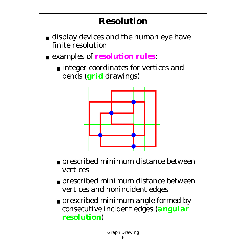## **Resolution**

- display devices and the human eye have finite resolution
- examples of *resolution rules*:
	- integer coordinates for vertices and bends (*grid* drawings)



- prescribed minimum distance between vertices
- prescribed minimum distance between vertices and nonincident edges
- prescribed minimum angle formed by consecutive incident edges (*angular resolution*)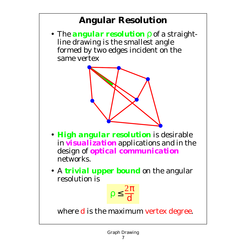### **Angular Resolution**

• The *angular resolution* ρ of a straightline drawing is the smallest angle formed by two edges incident on the same vertex



- *High angular resolution* is desirable in *visualization* applications and in the design of *optical communication* networks.
- •A *trivial upper bound* on the angular resolution is



where **d** is the maximum vertex degree.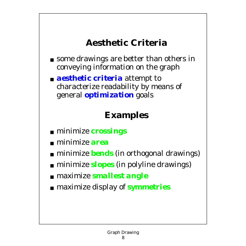#### **Aesthetic Criteria**

- some drawings are better than others in conveying information on the graph
- *aesthetic criteria* attempt to characterize readability by means of general *optimization* goals

#### **Examples**

- minimize *crossings*
- minimize *area*
- minimize *bends* (in orthogonal drawings)
- minimize *slopes* (in polyline drawings)
- maximize *smallest angle*
- maximize display of *symmetries*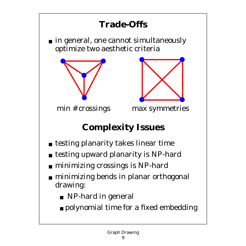### **Trade-Offs**

■ in general, one cannot simultaneously optimize two aesthetic criteria





min # crossings max symmetries

## **Complexity Issues**

- testing planarity takes linear time
- testing upward planarity is NP-hard
- minimizing crossings is NP-hard
- minimizing bends in planar orthogonal drawing:
	- NP-hard in general
	- polynomial time for a fixed embedding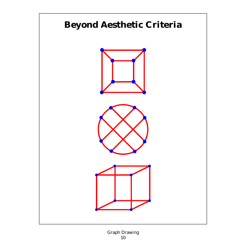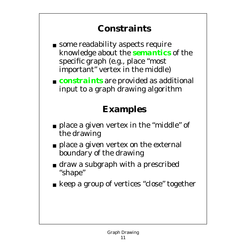### **Constraints**

- some readability aspects require knowledge about the *semantics* of the specific graph (e.g., place "most important" vertex in the middle)
- *constraints* are provided as additional input to a graph drawing algorithm

### **Examples**

- place a given vertex in the "middle" of the drawing
- place a given vertex on the external boundary of the drawing
- draw a subgraph with a prescribed "shape"
- keep a group of vertices "close" together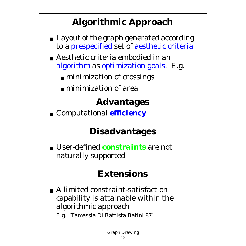### **Algorithmic Approach**

- Layout of the graph generated according to a prespecified set of aesthetic criteria
- Aesthetic criteria embodied in an algorithm as optimization goals. E.g.
	- minimization of crossings
	- minimization of area

## **Advantages**

■ Computational *efficiency* 

### **Disadvantages**

■ User-defined *constraints* are not naturally supported

### **Extensions**

■ A limited constraint-satisfaction capability is attainable within the algorithmic approach E.g., [Tamassia Di Battista Batini 87]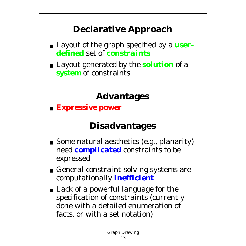### **Declarative Approach**

- Layout of the graph specified by a *userdefined* set of *constraints*
- Layout generated by the *solution* of a *system* of constraints

### **Advantages**

■ *Expressive power*

### **Disadvantages**

- Some natural aesthetics (e.g., planarity) need *complicated* constraints to be expressed
- General constraint-solving systems are computationally *inefficient*
- Lack of a powerful language for the specification of constraints (currently done with a detailed enumeration of facts, or with a set notation)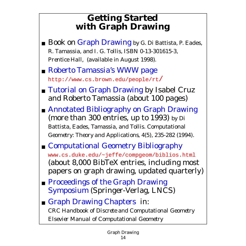#### **Getting Started with Graph Drawing**

- Book on Graph Drawing by G. Di Battista, P. Eades, R. Tamassia, and I. G. Tollis, ISBN 0-13-301615-3, *Prentice Hall*, (available in August 1998).
- Roberto Tamassia's WWW page http://www.cs.brown.edu/people/rt/
- Tutorial on Graph Drawing by Isabel Cruz and Roberto Tamassia (about 100 pages)
- Annotated Bibliography on Graph Drawing (more than 300 entries, up to 1993) by Di Battista, Eades, Tamassia, and Tollis. *Computational Geometry: Theory and Applications,* 4(5), 235-282 (1994).
- Computational Geometry Bibliography www.cs.duke.edu/~jeffe/compgeom/biblios.html (about 8,000 BibTeX entries, including most papers on graph drawing, updated quarterly)
- Proceedings of the Graph Drawing Symposium (Springer-Verlag, LNCS)
- Graph Drawing Chapters in: *CRC Handbook of Discrete and Computational Geometry Elsevier Manual of Computational Geometry*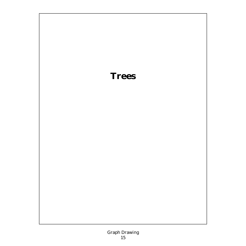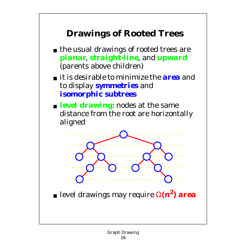### **Drawings of Rooted Trees**

- the usual drawings of rooted trees are *planar*, *straight-line*, and *upward* (parents above children)
- it is desirable to minimize the *area* and to display *symmetries* and *isomorphic subtrees*
- *level drawing*: nodes at the same distance from the root are horizontally aligned



■ level drawings may require Ω*(n***2***) area*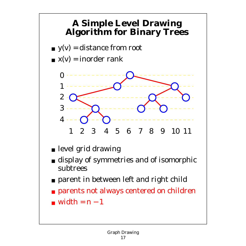#### **A Simple Level Drawing Algorithm for Binary Trees**

- $y(v) =$  distance from root
- $\mathbf{x}(v) =$  inorder rank



- level grid drawing
- display of symmetries and of isomorphic subtrees
- parent in between left and right child
- parents not always centered on children
- $\blacksquare$  width =  $n-1$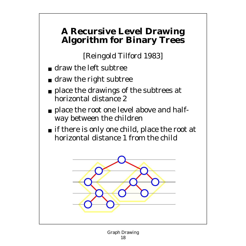#### **A Recursive Level Drawing Algorithm for Binary Trees**

[Reingold Tilford 1983]

- draw the left subtree
- draw the right subtree
- place the drawings of the subtrees at horizontal distance 2
- place the root one level above and halfway between the children
- if there is only one child, place the root at horizontal distance 1 from the child

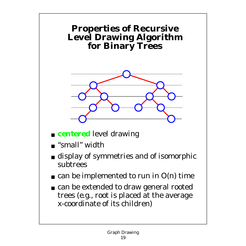#### **Properties of Recursive Level Drawing Algorithm for Binary Trees**



- *centered* level drawing
- "small" width
- display of symmetries and of isomorphic subtrees
- $\blacksquare$  can be implemented to run in O(n) time
- can be extended to draw general rooted trees (e.g., root is placed at the average x-coordinate of its children)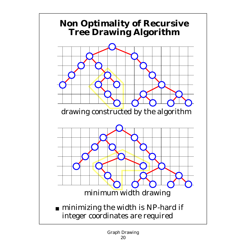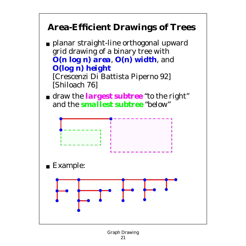### **Area-Efficient Drawings of Trees**

- planar straight-line orthogonal upward grid drawing of a binary tree with *O(n* **log** *n) area*, *O(n) width*, and *O(***log** *n) height* [Crescenzi Di Battista Piperno 92] [Shiloach 76]
- draw the *largest subtree* "to the right" and the *smallest subtree* "below"

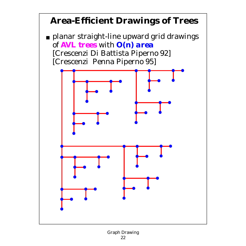### **Area-Efficient Drawings of Trees**

■ planar straight-line upward grid drawings of *AVL trees* with *O(n) area* [Crescenzi Di Battista Piperno 92] [Crescenzi Penna Piperno 95]

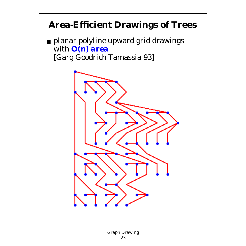### **Area-Efficient Drawings of Trees**

■ planar polyline upward grid drawings with *O(n) area* [Garg Goodrich Tamassia 93]

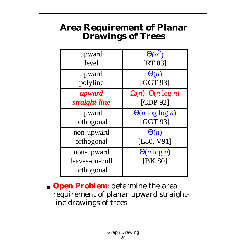#### **Area Requirement of Planar Drawings of Trees**

| upward<br>level | $\Theta(n^2)$<br><b>[RT 83]</b> |
|-----------------|---------------------------------|
|                 |                                 |
| upward          | $\Theta(n)$                     |
| polyline        | [GGT 93]                        |
| upward          | $\Omega(n)$ $O(n \log n)$       |
| straight-line   | [CDP 92]                        |
| upward          | $\Theta(n \log \log n)$         |
| orthogonal      | [GGT 93]                        |
| non-upward      | $\Theta(n)$                     |
| orthogonal      | [L80, V91]                      |
| non-upward      | $\Theta(n \log n)$              |
| leaves-on-hull  | <b>IBK 801</b>                  |
| orthogonal      |                                 |

*Open Problem:* determine the area requirement of planar upward straightline drawings of trees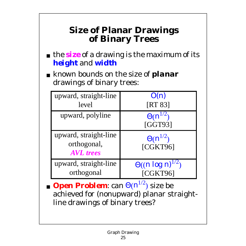#### **Size of Planar Drawings of Binary Trees**

- the *size* of a drawing is the maximum of its *height* and *width*
- known bounds on the size of *planar* drawings of binary trees:

| upward, straight-line                                    | O(n)                          |
|----------------------------------------------------------|-------------------------------|
| level                                                    | [RT 83]                       |
| upward, polyline                                         | $\Theta(n^{1/2})$<br>[GGT93]  |
| upward, straight-line<br>orthogonal,<br><b>AVL</b> trees | $\Theta(n^{1/2})$<br>[CGKT96] |
| upward, straight-line                                    | $\Theta((n \log n)^{1/2})$    |
| orthogonal                                               | [CGKT96]                      |

■ *Open Problem*: can  $\Theta(n^{1/2})$  size be achieved for (nonupward) planar straightline drawings of binary trees?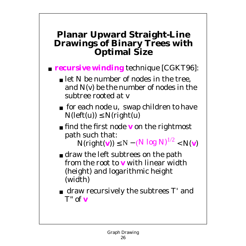#### **Planar Upward Straight-Line Drawings of Binary Trees with Optimal Size**

#### ■ *recursive winding* technique [CGKT96]:

- let N be number of nodes in the tree, and N(*v*) be the number of nodes in the subtree rooted at *v*
- for each node *u*, swap children to have  $N(\text{left}(u)) \leq N(\text{right}(u))$
- find the first node *v* on the rightmost path such that:

 $N(\text{right(v)}) \le N - (N \log N)^{1/2} < N(v)$ 

- draw the left subtrees on the path from the root to *v* with linear width (height) and logarithmic height (width)
- draw recursively the subtrees T' and *T"* of *v*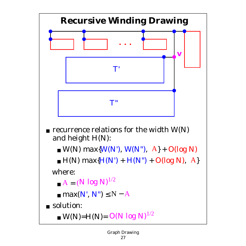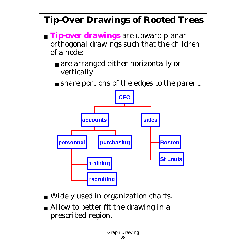### **Tip-Over Drawings of Rooted Trees**

- *Tip-over drawings* are upward planar orthogonal drawings such that the children of a node:
	- are arranged either horizontally or vertically
	- share portions of the edges to the parent.



- Widely used in organization charts.
- Allow to better fit the drawing in a prescribed region.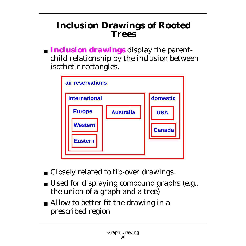#### **Inclusion Drawings of Rooted Trees**

■ *Inclusion drawings* display the parentchild relationship by the inclusion between isothetic rectangles.



- Closely related to tip-over drawings.
- Used for displaying compound graphs (e.g., the union of a graph and a tree)
- Allow to better fit the drawing in a prescribed region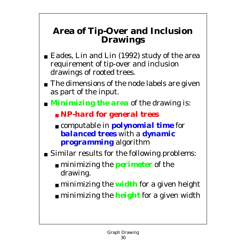#### **Area of Tip-Over and Inclusion Drawings**

- Eades, Lin and Lin (1992) study of the area requirement of tip-over and inclusion drawings of rooted trees.
- The dimensions of the node labels are given as part of the input.
- *Minimizing the area* of the drawing is:
	- *NP-hard for general trees*
	- computable in *polynomial time* for *balanced trees* with a *dynamic programming* algorithm
- Similar results for the following problems:
	- minimizing the *perimeter* of the drawing.
	- minimizing the *width* for a given height
	- minimizing the *height* for a given width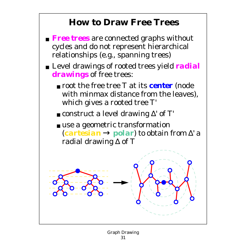#### **How to Draw Free Trees**

- *Free trees* are connected graphs without cycles and do not represent hierarchical relationships (e.g., spanning trees)
- Level drawings of rooted trees yield **radial** *drawings* of free trees:
	- root the free tree T at its *center* (node with minmax distance from the leaves), which gives a rooted tree T'
	- construct a level drawing ∆' of T'
	- use a geometric transformation (*cartesian* → *polar*) to obtain from ∆' a radial drawing ∆ of T

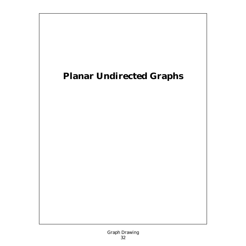### **Planar Undirected Graphs**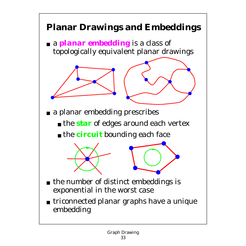### **Planar Drawings and Embeddings**

■ a *planar embedding* is a class of topologically equivalent planar drawings



- the *star* of edges around each vertex
- the *circuit* bounding each face



- the number of distinct embeddings is exponential in the worst case
- triconnected planar graphs have a unique embedding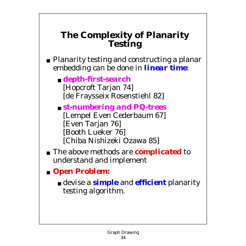#### **The Complexity of Planarity Testing**

- Planarity testing and constructing a planar embedding can be done in *linear time*:
	- *depth-first-search* [Hopcroft Tarjan 74] [de Fraysseix Rosenstiehl 82]
	- *st-numbering and PQ-trees* [Lempel Even Cederbaum 67] [Even Tarjan 76] [Booth Lueker 76] [Chiba Nishizeki Ozawa 85]
- The above methods are *complicated* to understand and implement
- *Open Problem:*
	- devise a *simple* and *efficient* planarity testing algorithm.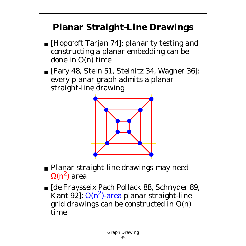### **Planar Straight-Line Drawings**

- [Hopcroft Tarjan 74]: planarity testing and constructing a planar embedding can be done in O(n) time
- [Fary 48, Stein 51, Steinitz 34, Wagner 36]: every planar graph admits a planar straight-line drawing



- Planar straight-line drawings may need  $Ω(n^2)$  area
- [de Fraysseix Pach Pollack 88, Schnyder 89, Kant 92]:  $O(n^2)$ -area planar straight-line grid drawings can be constructed in O(n) time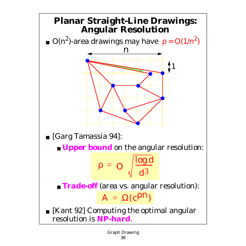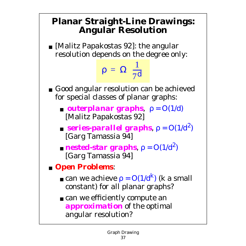### **Planar Straight-Line Drawings: Angular Resolution**

■ [Malitz Papakostas 92]: the angular resolution depends on the degree only:

 $\rho = \Omega\left(\frac{1}{7d}\right)$ 

- Good angular resolution can be achieved for special classes of planar graphs:
	- *outerplanar graphs*,  $ρ = O(1/d)$ [Malitz Papakostas 92]
	- *series-parallel graphs*,  $\rho = O(1/d^2)$ [Garg Tamassia 94]
	- *nested-star graphs*,  $\rho = O(1/d^2)$ [Garg Tamassia 94]
- *Open Problems*:
	- $\bullet$  can we achieve  $\rho = O(1/d^k)$  (k a small constant) for all planar graphs?
	- can we efficiently compute an *approximation* of the optimal angular resolution?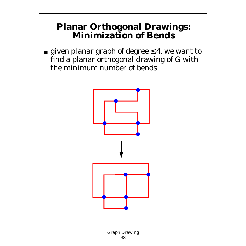#### **Planar Orthogonal Drawings: Minimization of Bends**

■ given planar graph of degree  $\leq 4$ , we want to find a planar orthogonal drawing of G with the minimum number of bends

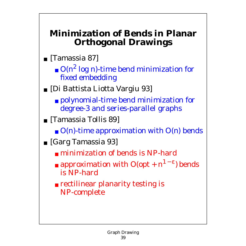#### **Minimization of Bends in Planar Orthogonal Drawings**

- [Tamassia 87]
	- $\blacksquare$  O(n<sup>2</sup> log n)-time bend minimization for fixed embedding
- [Di Battista Liotta Vargiu 93]
	- polynomial-time bend minimization for degree-3 and series-parallel graphs
- [Tamassia Tollis 89]
	- $\blacksquare$  O(n)-time approximation with O(n) bends
- [Garg Tamassia 93]
	- minimization of bends is NP-hard
	- **approximation with**  $O(\varphi t + n^{1-\epsilon})$  **bends** is NP-hard
	- rectilinear planarity testing is NP-complete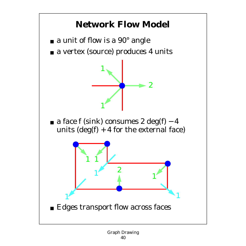## **Network Flow Model**

- $\blacksquare$  a unit of flow is a 90 $^{\circ}$  angle
- a vertex (source) produces 4 units



■ a face f (sink) consumes  $2 \text{ deg}(f) - 4$ units  $deg(f) + 4$  for the external face)

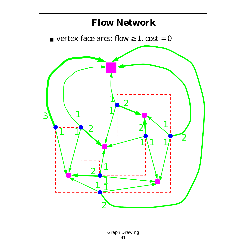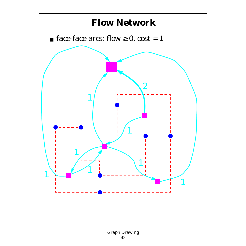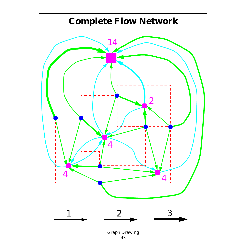

Graph Drawing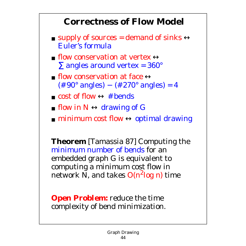### **Correctness of Flow Model**

- supply of sources = demand of sinks  $\leftrightarrow$ Euler's formula
- **Exercise 1** flow conservation at vertex  $\leftrightarrow$  $\Sigma$  angles around vertex = 360 $^{\circ}$
- **Example 1** flow conservation at face  $\leftrightarrow$  $(\# 90^{\circ}$  angles) –  $(\# 270^{\circ}$  angles) = 4
- cost of flow  $\leftrightarrow$  # bends
- **If**  $\mathbb{N} \leftrightarrow \mathbb{d}$  **drawing of G**
- **minimum cost flow**  $\leftrightarrow$  **optimal drawing**

**Theorem** [Tamassia 87] Computing the minimum number of bends for an embedded graph G is equivalent to computing a minimum cost flow in network N, and takes  $O(n^2 \log n)$  time

*Open Problem:* reduce the time complexity of bend minimization.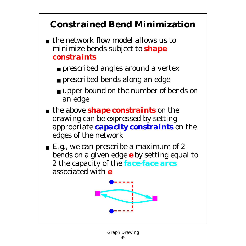## **Constrained Bend Minimization**

- the network flow model allows us to minimize bends subject to *shape constraints*
	- prescribed angles around a vertex
	- prescribed bends along an edge
	- upper bound on the number of bends on an edge
- the above *shape constraints* on the drawing can be expressed by setting appropriate *capacity constraints* on the edges of the network
- $\blacksquare$  E.g., we can prescribe a maximum of 2 bends on a given edge *e* by setting equal to 2 the capacity of the *face-face arcs* associated with *e*

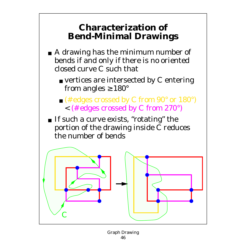### **Characterization of Bend-Minimal Drawings**

- A drawing has the minimum number of bends if and only if there is no oriented closed curve C such that
	- $\blacksquare$  vertices are intersected by C entering from angles  $\geq 180^\circ$
	- $\blacksquare$  (# edges crossed by C from 90 $^{\circ}$  or 180 $^{\circ}$ ) < (# edges crossed by C from 270°)
- If such a curve exists, "rotating" the portion of the drawing inside C reduces the number of bends

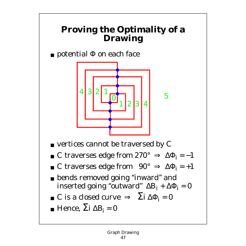### **Proving the Optimality of a Drawing**

 $\blacksquare$  potential  $\Phi$  on each face



- $\blacksquare$  vertices cannot be traversed by C
- C traverses edge from  $270^{\circ} \Rightarrow \Delta \Phi_i = -1$
- C traverses edge from  $90^\circ \Rightarrow \Delta \Phi_i = +1$
- bends removed going "inward" and inserted going "outward"  $\Delta B_i + \Delta \Phi_i = 0$
- C is a closed curve  $\Rightarrow$   $\Sigma$ i Δ $\Phi$ <sub>i</sub> = 0
- $\blacksquare$  Hence,  $\Sigma i \Delta B_i = 0$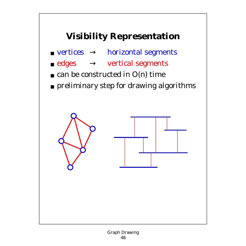# **Visibility Representation**

- $\blacksquare$  vertices  $\rightarrow$  horizontal segments
- $\blacksquare$  edges  $\rightarrow$  vertical segments
- $\blacksquare$  can be constructed in O(n) time
- preliminary step for drawing algorithms

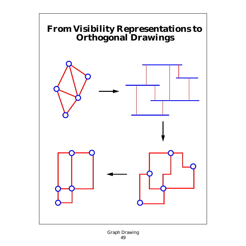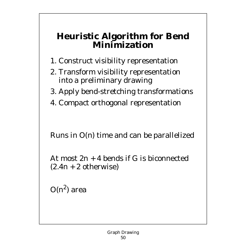#### **Heuristic Algorithm for Bend Minimization**

- 1. Construct visibility representation
- 2. Transform visibility representation into a preliminary drawing
- 3. Apply bend-stretching transformations
- 4. Compact orthogonal representation

Runs in O(n) time and can be parallelized

At most  $2n + 4$  bends if G is biconnected  $(2.4n + 2$  otherwise)

 $O(n^2)$  area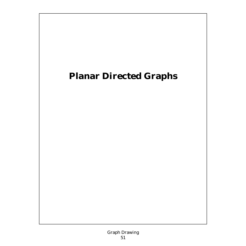# **Planar Directed Graphs**

Graph Drawing 51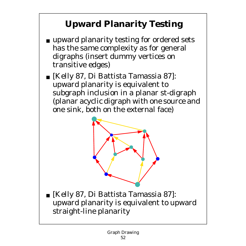# **Upward Planarity Testing**

- upward planarity testing for ordered sets has the same complexity as for general digraphs (insert dummy vertices on transitive edges)
- [Kelly 87, Di Battista Tamassia 87]: upward planarity is equivalent to subgraph inclusion in a planar st-digraph (planar acyclic digraph with one source and one sink, both on the external face)



■ [Kelly 87, Di Battista Tamassia 87]: upward planarity is equivalent to upward straight-line planarity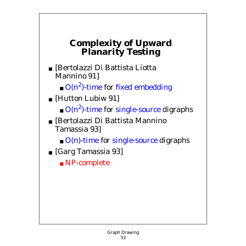### **Complexity of Upward Planarity Testing**

■ [Bertolazzi Di Battista Liotta Mannino 91]

 $\blacksquare$  O(n<sup>2</sup>)-time for fixed embedding

- [Hutton Lubiw 91]
	- $\bullet$  O(n<sup>2</sup>)-time for single-source digraphs
- [Bertolazzi Di Battista Mannino Tamassia 93]
	- $\blacksquare$  O(n)-time for single-source digraphs
- [Garg Tamassia 93]
	- NP-complete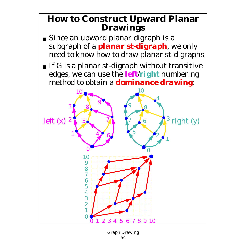#### **How to Construct Upward Planar Drawings**

- Since an upward planar digraph is a subgraph of a *planar st-digraph*, we only need to know how to draw planar st-digraphs
- If G is a planar st-digraph without transitive edges, we can use the *left*/*right* numbering method to obtain a *dominance drawing*:



Graph Drawing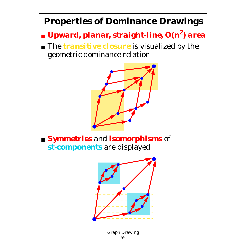# **Properties of Dominance Drawings**

- *Upward, planar, straight-line, O(n2) area*
- The *transitive closure* is visualized by the geometric dominance relation



#### ■ *Symmetries* and *isomorphisms* of *st-components* are displayed

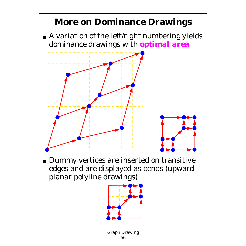# **More on Dominance Drawings**

■ A variation of the left/right numbering yields dominance drawings with *optimal area*



■ Dummy vertices are inserted on transitive edges and are displayed as bends (upward planar polyline drawings)

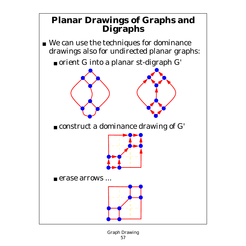### **Planar Drawings of Graphs and Digraphs**

- We can use the techniques for dominance drawings also for undirected planar graphs:
	- orient G into a planar st-digraph G'



■ construct a dominance drawing of G'



■ erase arrows ...

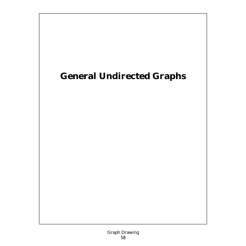## **General Undirected Graphs**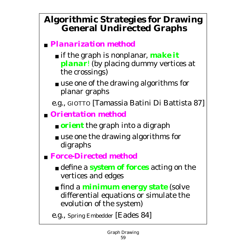### **Algorithmic Strategies for Drawing General Undirected Graphs**

#### ■ *Planarization method*

- if the graph is nonplanar, *make it planar*! (by placing dummy vertices at the crossings)
- use one of the drawing algorithms for planar graphs
- e.g., GIOTTO [Tamassia Batini Di Battista 87]
- *Orientation method*
	- *orient* the graph into a digraph
	- use one the drawing algorithms for digraphs
- *Force-Directed method*
	- define a *system of forces* acting on the vertices and edges
	- find a *minimum energy state* (solve differential equations or simulate the evolution of the system)

e.g., Spring Embedder [Eades 84]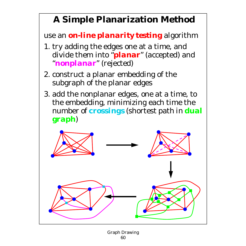## **A Simple Planarization Method**

use an *on-line planarity testing* algorithm

- 1. try adding the edges one at a time, and divide them into "*planar*" (accepted) and "*nonplanar*" (rejected)
- 2. construct a planar embedding of the subgraph of the planar edges
- 3. add the nonplanar edges, one at a time, to the embedding, minimizing each time the number of *crossings* (shortest path in *dual graph*)

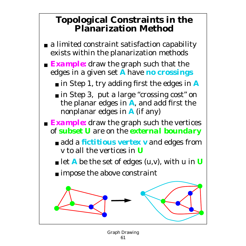#### **Topological Constraints in the Planarization Method**

- a limited constraint satisfaction capability exists within the planarization methods
- *Example:* draw the graph such that the edges in a given set *A* have *no crossings*
	- in Step 1, try adding first the edges in **A**
	- in Step 3, put a large "crossing cost" on the planar edges in *A*, and add first the nonplanar edges in *A* (if any)
- *Example:* draw the graph such the vertices of *subset U* are on the *external boundary*
	- add a *fictitious vertex v* and edges from v to all the vertices in *U*
	- $\blacksquare$  let *A* be the set of edges (u,v), with u in *U*
	- impose the above constraint

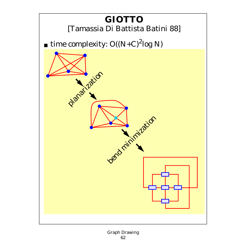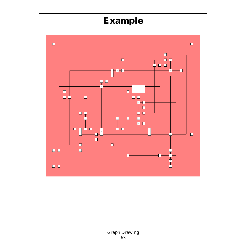# **Example**

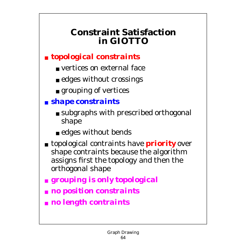### **Constraint Satisfaction in GIOTTO**

#### ■ *topological constraints*

- vertices on external face
- edges without crossings
- grouping of vertices

#### ■ *shape constraints*

- subgraphs with prescribed orthogonal shape
- edges without bends
- topological contraints have *priority* over shape contraints because the algorithm assigns first the topology and then the orthogonal shape
- *grouping is only topological*
- *no position constraints*
- *no length contraints*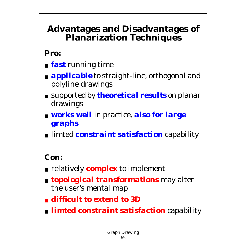#### **Advantages and Disadvantages of Planarization Techniques**

#### **Pro:**

- *fast* running time
- **applicable** to straight-line, orthogonal and polyline drawings
- supported by *theoretical results* on planar drawings
- *works well* in practice, **also for large** *graphs*
- limted *constraint satisfaction* capability

#### **Con:**

- relatively *complex* to implement
- *topological transformations* may alter the user's mental map
- *difficult to extend to 3D*
- *limted constraint satisfaction* capability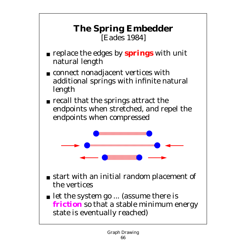### **The Spring Embedder** [Eades 1984]

- replace the edges by *springs* with unit natural length
- connect nonadjacent vertices with additional springs with infinite natural length
- recall that the springs attract the endpoints when stretched, and repel the endpoints when compressed



- start with an initial random placement of the vertices
- let the system go ... (assume there is *friction* so that a stable minimum energy state is eventually reached)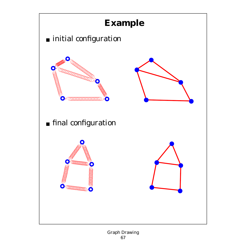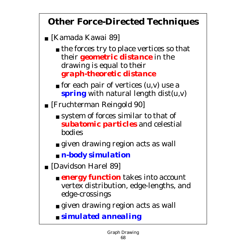## **Other Force-Directed Techniques**

- [Kamada Kawai 89]
	- the forces try to place vertices so that their *geometric distance* in the drawing is equal to their *graph-theoretic distance*
	- $\blacksquare$  for each pair of vertices  $(u,v)$  use a *spring* with natural length dist(u,v)
- [Fruchterman Reingold 90]
	- system of forces similar to that of *subatomic particles* and celestial bodies
	- given drawing region acts as wall
	- *n-body simulation*
- [Davidson Harel 89]
	- *energy function* takes into account vertex distribution, edge-lengths, and edge-crossings
	- given drawing region acts as wall
	- *simulated annealing*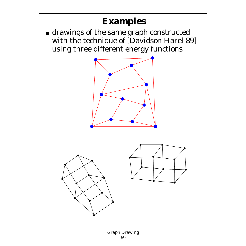## **Examples**

 $\blacksquare$  drawings of the same graph constructed with the technique of [Davidson Harel 89] using three different energy functions



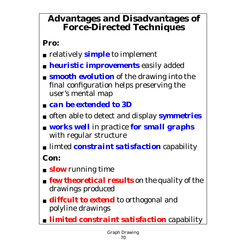#### **Advantages and Disadvantages of Force-Directed Techniques**

#### **Pro:**

- relatively *simple* to implement
- *heuristic improvements* easily added
- *smooth evolution* of the drawing into the final configuration helps preserving the user's mental map
- *can be extended to 3D*
- often able to detect and display *symmetries*
- *works well* in practice *for small graphs* with regular structure
- limted *constraint satisfaction* capability

**Con:**

- *slow* running time
- *few theoretical results* on the quality of the drawings produced
- *diffcult to extend* to orthogonal and polyline drawings
- *limited constraint satisfaction* capability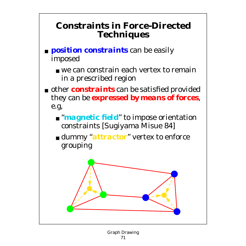#### **Constraints in Force-Directed Techniques**

- *position constraints* can be easily imposed
	- we can constrain each vertex to remain in a prescribed region
- other *constraints* can be satisfied provided they can be *expressed by means of forces*, e.g,
	- "*magnetic field*" to impose orientation constraints [Sugiyama Misue 84]
	- dummy "*attractor*" vertex to enforce grouping

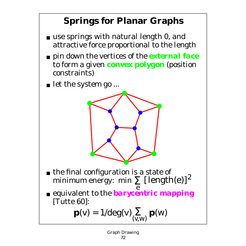# **Springs for Planar Graphs**

- use springs with natural length 0, and attractive force proportional to the length
- pin down the vertices of the *external face* to form a given *convex polygon* (position constraints)
- let the system go ...



- the final configuration is a state of minimum energy: min  $\sum_{n=1}^{\infty}$  [length(e)]<sup>2</sup>
- e ■ equivalent to the *barycentric mapping* [Tutte 60]:

$$
\mathbf{p}(v) = 1/\text{deg}(v) \sum_{(v,w)} \mathbf{p}(w)
$$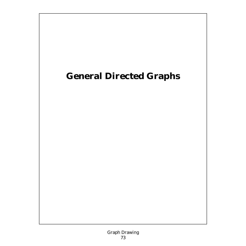# **General Directed Graphs**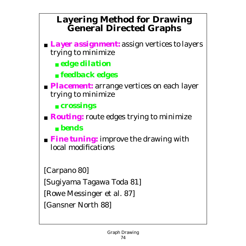# **Layering Method for Drawing General Directed Graphs**

- *Layer assignment:* assign vertices to layers trying to minimize
	- *edge dilation*
	- *feedback edges*
- *Placement:* arrange vertices on each layer trying to minimize
	- *crossings*
- *Routing:* route edges trying to minimize ■ *bends*
- **Fine tuning:** improve the drawing with local modifications

[Carpano 80]

[Sugiyama Tagawa Toda 81]

[Rowe Messinger et al. 87]

[Gansner North 88]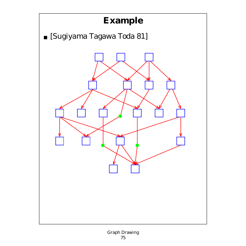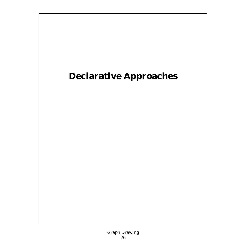# **Declarative Approaches**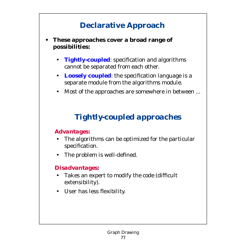# **Declarative Approach**

### **• These approaches cover a broad range of possibilities:**

- **Tightly-coupled**: specification and algorithms cannot be separated from each other.
- **Loosely coupled:** the specification language is a separate module from the algorithms module.
- Most of the approaches are somewhere in between ...

# *Tightly-coupled approaches*

### *Advantages:*

- The algorithms can be optimized for the particular specification.
- The problem is well-defined.

### *Disadvantages:*

- Takes an expert to modify the code (difficult extensibility).
- User has less flexibility.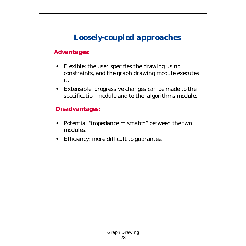# *Loosely-coupled approaches*

## *Advantages:*

- Flexible: the user specifies the drawing using constraints, and the graph drawing module executes it.
- Extensible: progressive changes can be made to the specification module and to the algorithms module.

### *Disadvantages:*

- Potential "impedance mismatch" between the two modules.
- Efficiency: more difficult to guarantee.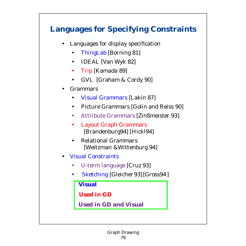## **Languages for Specifying Constraints**

- Languages for display specification
	- ThingLab [Borning 81]
	- IDEAL [Van Wyk 82]
	- Trip [Kamada 89]
	- GVL [Graham & Cordy 90]
- **Grammars** 
	- Visual Grammars [Lakin 87]
	- Picture Grammars [Golin and Reiss 90]
	- Attribute Grammars [Zinßmeister 93]
	- Layout Graph Grammars [Brandenburg94] [Hickl94]
	- Relational Grammars [Weitzman &Wittenburg 94]
- Visual Constraints
	- U-term language [Cruz 93]
	- Sketching [Gleicher 93] [Gross94 ]

 **Visual**

**Used in GD** 

 **Used in GD and Visual**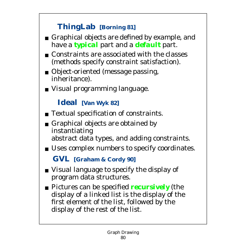## **ThingLab [Borning 81]**

- Graphical objects are defined by example, and have a *typical* part and a *default* part.
- Constraints are associated with the classes (methods specify constraint satisfaction).
- Object-oriented (message passing, inheritance).
- Visual programming language.

## **Ideal [Van Wyk 82]**

- Textual specification of constraints.
- Graphical objects are obtained by instantiating abstract data types, and adding constraints.
- Uses complex numbers to specify coordinates.

**GVL [Graham & Cordy 90]**

- Visual language to specify the display of program data structures.
- Pictures can be specified *recursively* (the display of a linked list is the display of the first element of the list, followed by the display of the rest of the list.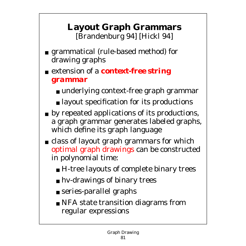# **Layout Graph Grammars** [Brandenburg 94] [Hickl 94]

- grammatical (rule-based method) for drawing graphs
- extension of a *context-free string grammar*
	- underlying context-free graph grammar
	- layout specification for its productions
- by repeated applications of its productions, a graph grammar generates labeled graphs, which define its graph language
- class of layout graph grammars for which optimal graph drawings can be constructed in polynomial time:
	- H-tree layouts of complete binary trees
	- hv-drawings of binary trees
	- series-parallel graphs
	- NFA state transition diagrams from regular expressions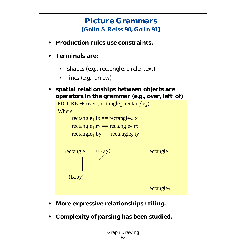## **Picture Grammars [Golin & Reiss 90, Golin 91]**

- **Production rules use constraints.**
- **Terminals are:**
	- *shapes* (e.g., rectangle, circle, text)
	- *lines* (e.g., arrow)
- **spatial relationships between objects are** *operators* **in the grammar (e.g., over, left\_of)**

 $FIGURE \rightarrow over (rectangle_1, rectangle_2)$ 

**Where** 

rectangle<sub>1</sub>.lx == rectangle<sub>2</sub>.lx

rectangle<sub>1</sub>.rx == rectangle<sub>2</sub>.rx

```
rectangle<sub>1</sub>.by == rectangle<sub>2</sub>.ty
```




rectangle<sub>2</sub>

rectangle $_1$ 

- **More expressive relationships :** *tiling***.**
- **Complexity of parsing has been studied.**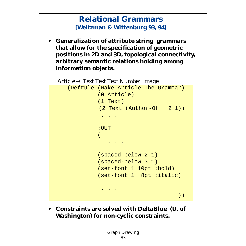## **Relational Grammars [Weitzman & Wittenburg 93, 94]**

 **• Generalization of attribute string grammars that allow for the specification of geometric positions in 2D and 3D, topological connectivity, arbitrary semantic relations holding among information objects.**

```
Article → Text Text Text Number Image
    (Defrule (Make-Article The-Grammar)
               (0 Article)
               (1 Text)
               (2 Text (Author-Of 2 1))
                 . . .
               :OUT
\mathcal{L}(\mathcal{L}) and \mathcal{L}(\mathcal{L}) and \mathcal{L}(\mathcal{L}) . . .
               (spaced-below 2 1)
               (spaced-below 3 1)
               (set-font 1 10pt :bold)
               (set-font 1 8pt :italic)
 . . .
                                             ))
```
 **• Constraints are solved with DeltaBlue (U. of Washington) for non-cyclic constraints.**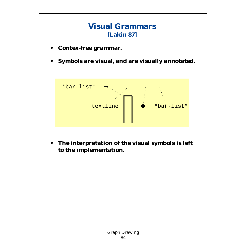

 **• The interpretation of the visual symbols is left to the implementation.**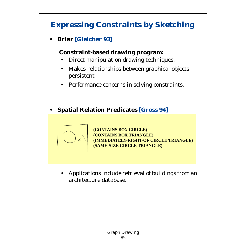# **Expressing Constraints by Sketching**

 **• Briar [Gleicher 93]**

### **Constraint-based drawing program:**

- Direct manipulation drawing techniques.
- Makes relationships between graphical objects persistent
- Performance concerns in solving constraints.

### **• Spatial Relation Predicates [Gross 94]**



**(CONTAINS BOX CIRCLE) (CONTAINS BOX TRIANGLE) (IMMEDIATELY-RIGHT-OF CIRCLE TRIANGLE) (SAME-SIZE CIRCLE TRIANGLE)**

 • Applications include retrieval of buildings from an architecture database.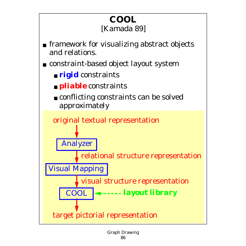## **COOL** [Kamada 89]

- framework for visualizing abstract objects and relations.
- constraint-based object layout system
	- *rigid* constraints
	- *<u>nliable</u>* constraints
	- conflicting constraints can be solved approximately

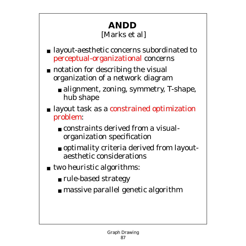# **ANDD** [Marks et al]

- layout-aesthetic concerns subordinated to perceptual-organizational concerns
- notation for describing the visual organization of a network diagram
	- alignment, zoning, symmetry, T-shape, hub shape
- layout task as a constrained optimization problem:
	- constraints derived from a visualorganization specification
	- optimality criteria derived from layoutaesthetic considerations
- two heuristic algorithms:
	- rule-based strategy
	- massive parallel genetic algorithm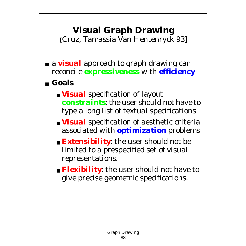# **Visual Graph Drawing**

**[**Cruz, Tamassia Van Hentenryck 93]

- a *visual* approach to graph drawing can reconcile *expressiveness* with *efficiency*
- **Goals**
	- *Visual* specification of layout *constraints*: the user should not have to type a long list of textual specifications
	- *Visual* specification of aesthetic criteria associated with *optimization* problems
	- *Extensibility*: the user should not be limited to a prespecified set of visual representations.
	- *Flexibility*: the user should not have to give precise geometric specifications.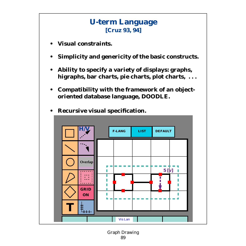## **U-term Language [Cruz 93, 94]**

- **Visual constraints.**
- **Simplicity and genericity of the basic constructs.**
- **Ability to specify a variety of displays: graphs, higraphs, bar charts, pie charts, plot charts, . . .**
- **Compatibility with the framework of an objectoriented database language, DOODLE.**



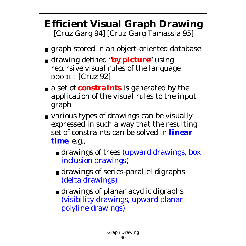# **Efficient Visual Graph Drawing** [Cruz Garg 94] [Cruz Garg Tamassia 95]

- graph stored in an object-oriented database
- drawing defined "*by picture*" using recursive visual rules of the language DOODLE [Cruz 92]
- a set of *constraints* is generated by the application of the visual rules to the input graph
- various types of drawings can be visually expressed in such a way that the resulting set of constraints can be solved in *linear time*, e.g.,
	- drawings of trees (upward drawings, box inclusion drawings)
	- drawings of series-parallel digraphs (delta drawings)
	- drawings of planar acyclic digraphs (visibility drawings, upward planar polyline drawings)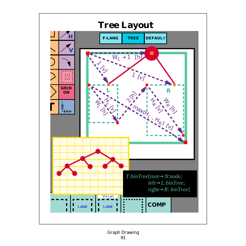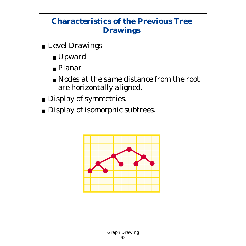## **Characteristics of the Previous Tree Drawings**

- Level Drawings
	- Upward
	- Planar
	- Nodes at the same distance from the root are horizontally aligned.
- Display of symmetries.
- Display of isomorphic subtrees.

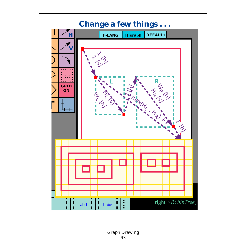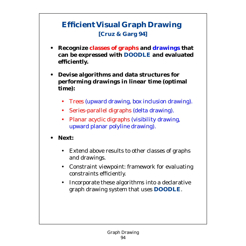## **Efficient Visual Graph Drawing [Cruz & Garg 94]**

- **Recognize classes of graphs and drawings that can be expressed with DOODLE and evaluated efficiently.**
- **Devise algorithms and data structures for performing drawings in linear time (optimal time):**
	- Trees (upward drawing, box inclusion drawing).
	- Series-parallel digraphs (delta drawing).
	- Planar acyclic digraphs (visibility drawing, upward planar polyline drawing).
- **Next:**
	- Extend above results to other classes of graphs and drawings.
	- Constraint viewpoint: framework for evaluating constraints efficiently.
	- Incorporate these algorithms into a declarative graph drawing system that uses **DOODLE**.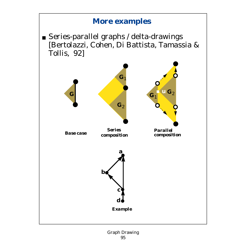## **More examples**

■ Series-parallel graphs / delta-drawings [Bertolazzi, Cohen, Di Battista, Tamassia & Tollis, 92]

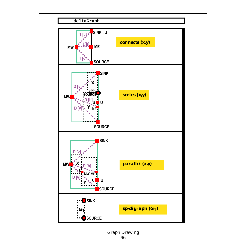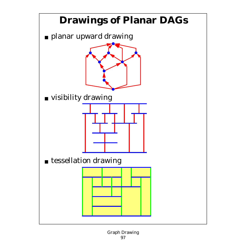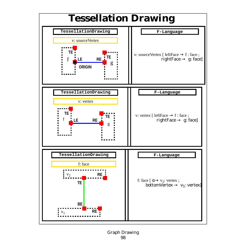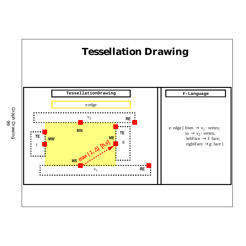

Graph Drawing Graph Drawing<br>99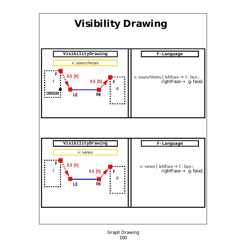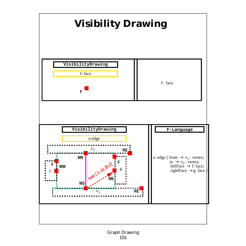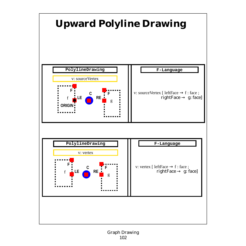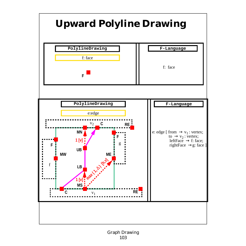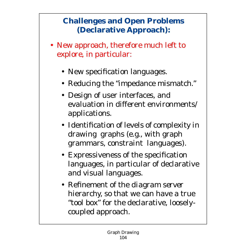## **Challenges and Open Problems (Declarative Approach):**

- New approach, therefore much left to explore, in particular:
	- New specification languages.
	- Reducing the "impedance mismatch."
	- Design of user interfaces, and evaluation in different environments/ applications.
	- Identification of levels of complexity in drawing graphs (e.g., with graph grammars, constraint languages).
	- Expressiveness of the specification languages, in particular of declarative and visual languages.
	- Refinement of the *diagram server* hierarchy, so that we can have a true "tool box" for the declarative, looselycoupled approach.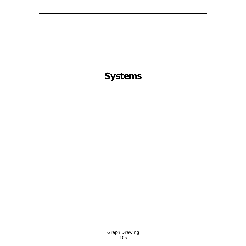